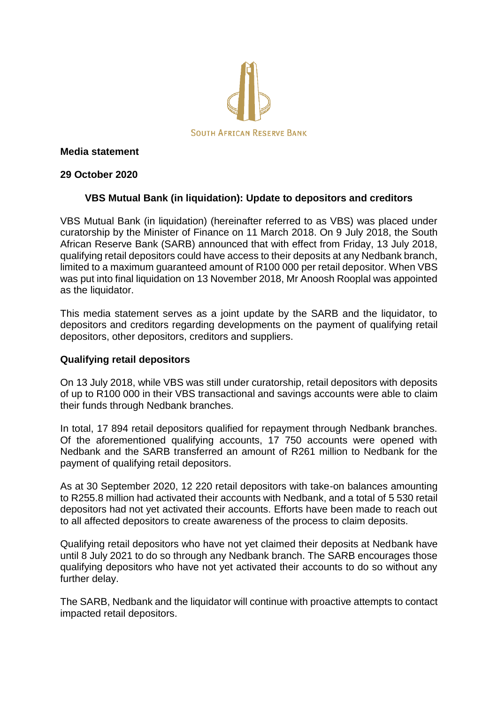

## **Media statement**

## **29 October 2020**

# **VBS Mutual Bank (in liquidation): Update to depositors and creditors**

VBS Mutual Bank (in liquidation) (hereinafter referred to as VBS) was placed under curatorship by the Minister of Finance on 11 March 2018. On 9 July 2018, the South African Reserve Bank (SARB) announced that with effect from Friday, 13 July 2018, qualifying retail depositors could have access to their deposits at any Nedbank branch, limited to a maximum guaranteed amount of R100 000 per retail depositor. When VBS was put into final liquidation on 13 November 2018, Mr Anoosh Rooplal was appointed as the liquidator.

This media statement serves as a joint update by the SARB and the liquidator, to depositors and creditors regarding developments on the payment of qualifying retail depositors, other depositors, creditors and suppliers.

# **Qualifying retail depositors**

On 13 July 2018, while VBS was still under curatorship, retail depositors with deposits of up to R100 000 in their VBS transactional and savings accounts were able to claim their funds through Nedbank branches.

In total, 17 894 retail depositors qualified for repayment through Nedbank branches. Of the aforementioned qualifying accounts, 17 750 accounts were opened with Nedbank and the SARB transferred an amount of R261 million to Nedbank for the payment of qualifying retail depositors.

As at 30 September 2020, 12 220 retail depositors with take-on balances amounting to R255.8 million had activated their accounts with Nedbank, and a total of 5 530 retail depositors had not yet activated their accounts. Efforts have been made to reach out to all affected depositors to create awareness of the process to claim deposits.

Qualifying retail depositors who have not yet claimed their deposits at Nedbank have until 8 July 2021 to do so through any Nedbank branch. The SARB encourages those qualifying depositors who have not yet activated their accounts to do so without any further delay.

The SARB, Nedbank and the liquidator will continue with proactive attempts to contact impacted retail depositors.